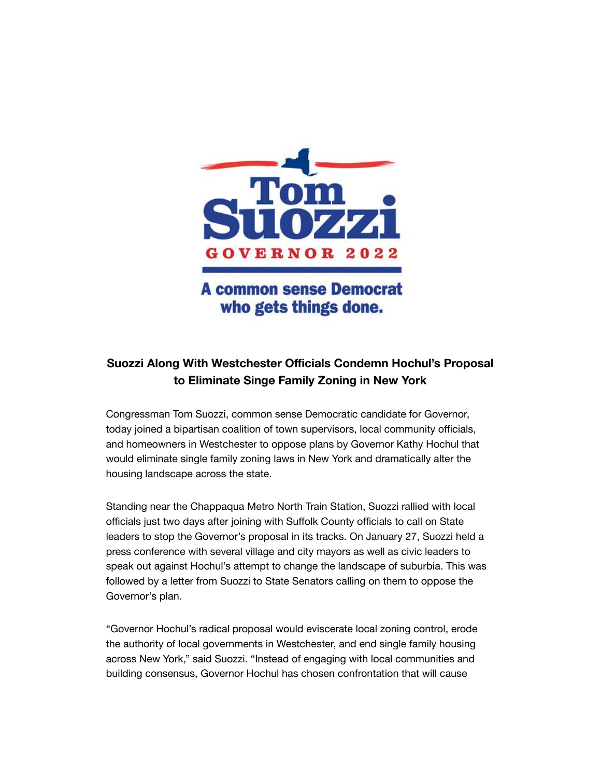

## **A common sense Democrat** who gets things done.

## **Suozzi Along With Westchester Officials Condemn Hochul's Proposal to Eliminate Singe Family Zoning in New York**

Congressman Tom Suozzi, common sense Democratic candidate for Governor, today joined a bipartisan coalition of town supervisors, local community officials, and homeowners in Westchester to oppose plans by Governor Kathy Hochul that would eliminate single family zoning laws in New York and dramatically alter the housing landscape across the state.

Standing near the Chappaqua Metro North Train Station, Suozzi rallied with local officials just two days after joining with Suffolk County officials to call on State leaders to stop the Governor's proposal in its tracks. On January 27, Suozzi held a press conference with several village and city mayors as well as civic leaders to speak out against Hochul's attempt to change the landscape of suburbia. This was followed by a letter from Suozzi to State Senators calling on them to oppose the Governor's plan.

"Governor Hochul's radical proposal would eviscerate local zoning control, erode the authority of local governments in Westchester, and end single family housing across New York," said Suozzi. "Instead of engaging with local communities and building consensus, Governor Hochul has chosen confrontation that will cause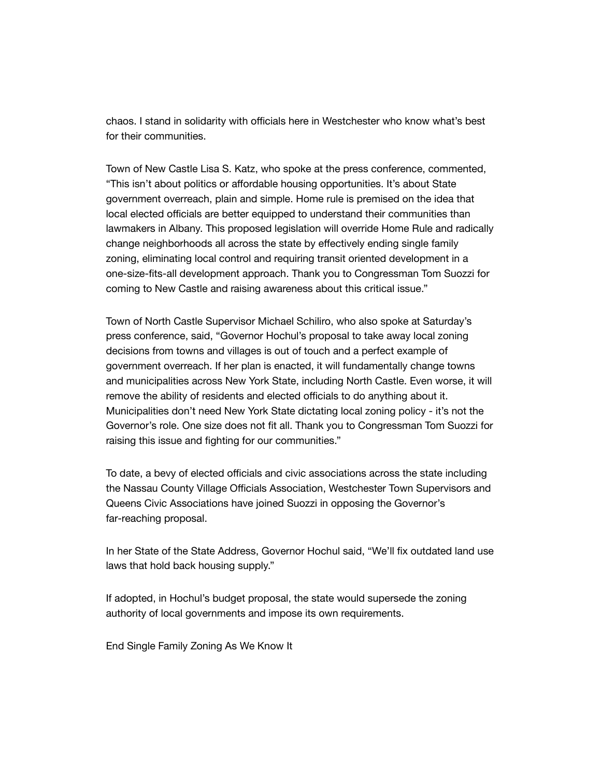chaos. I stand in solidarity with officials here in Westchester who know what's best for their communities.

Town of New Castle Lisa S. Katz, who spoke at the press conference, commented, "This isn't about politics or affordable housing opportunities. It's about State government overreach, plain and simple. Home rule is premised on the idea that local elected officials are better equipped to understand their communities than lawmakers in Albany. This proposed legislation will override Home Rule and radically change neighborhoods all across the state by effectively ending single family zoning, eliminating local control and requiring transit oriented development in a one-size-fits-all development approach. Thank you to Congressman Tom Suozzi for coming to New Castle and raising awareness about this critical issue."

Town of North Castle Supervisor Michael Schiliro, who also spoke at Saturday's press conference, said, "Governor Hochul's proposal to take away local zoning decisions from towns and villages is out of touch and a perfect example of government overreach. If her plan is enacted, it will fundamentally change towns and municipalities across New York State, including North Castle. Even worse, it will remove the ability of residents and elected officials to do anything about it. Municipalities don't need New York State dictating local zoning policy - it's not the Governor's role. One size does not fit all. Thank you to Congressman Tom Suozzi for raising this issue and fighting for our communities."

To date, a bevy of elected officials and civic associations across the state including the Nassau County Village Officials Association, Westchester Town Supervisors and Queens Civic Associations have joined Suozzi in opposing the Governor's far-reaching proposal.

In her State of the State Address, Governor Hochul said, "We'll fix outdated land use laws that hold back housing supply."

If adopted, in Hochul's budget proposal, the state would supersede the zoning authority of local governments and impose its own requirements.

End Single Family Zoning As We Know It